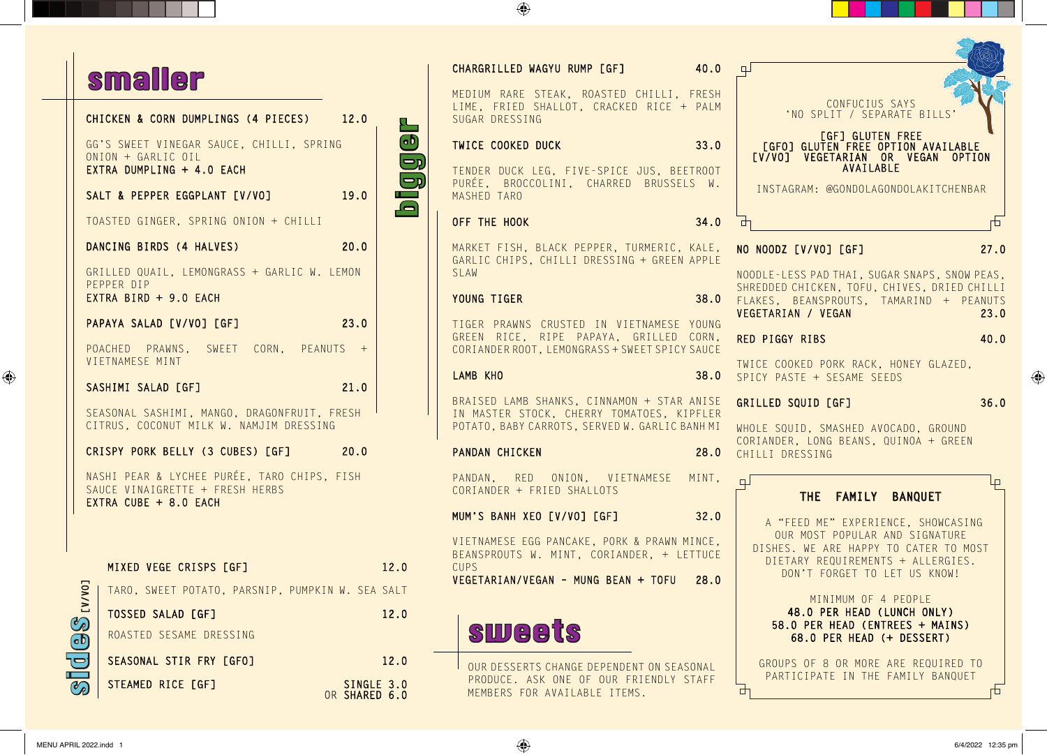## smaller

|                                  | CHICKEN & CORN DUMPLINGS (4 PIECES) 12.0                                                                |                             |      |
|----------------------------------|---------------------------------------------------------------------------------------------------------|-----------------------------|------|
|                                  | GG'S SWEET VINEGAR SAUCE, CHILLI, SPRING<br>$ONION + GARLIC OIL$<br>EXTRA DUMPLING + 4.0 EACH           |                             |      |
|                                  | SALT & PEPPER EGGPLANT [V/VO]                                                                           | 19.0                        |      |
|                                  | TOASTED GINGER, SPRING ONION + CHILLI                                                                   |                             |      |
|                                  | DANCING BIRDS (4 HALVES)                                                                                | 20.0                        |      |
|                                  | GRILLED QUAIL, LEMONGRASS + GARLIC W. LEMON<br>PEPPER DIP<br>EXTRA BIRD + 9.0 EACH                      |                             |      |
|                                  | PAPAYA SALAD [V/VO] [GF]                                                                                | 23.0                        |      |
|                                  | POACHED PRAWNS, SWEET CORN, PEANUTS +<br>VIETNAMESE MINT                                                |                             |      |
|                                  | SASHIMI SALAD [GF]                                                                                      | 21.0                        |      |
|                                  | SEASONAL SASHIMI, MANGO, DRAGONFRUIT, FRESH<br>CITRUS, COCONUT MILK W. NAMJIM DRESSING                  |                             |      |
|                                  | CRISPY PORK BELLY (3 CUBES) [GF] 20.0                                                                   |                             |      |
|                                  | NASHI PEAR & LYCHEE PURÉE, TARO CHIPS, FISH<br>SAUCE VINAIGRETTE + FRESH HERBS<br>EXTRA CUBE + 8.0 EACH |                             |      |
|                                  | MIXED VEGE CRISPS [GF]                                                                                  |                             | 12.0 |
|                                  | TARO, SWEET POTATO, PARSNIP, PUMPKIN W. SEA SALT                                                        |                             |      |
|                                  | TOSSED SALAD [GF]                                                                                       |                             | 12.0 |
| $\text{G}$ (98 $_{\text{LVV}01}$ | ROASTED SESAME DRESSING                                                                                 |                             |      |
|                                  | SEASONAL STIR FRY [GFO]                                                                                 |                             | 12.0 |
|                                  | STEAMED RICE [GF]                                                                                       | SINGLE 3.0<br>OR SHARED 6.0 |      |

|  | 40.0<br>CHARGRILLED WAGYU RUMP [GF]                                                                                                       | ٣                                                                                                                                            |  |  |
|--|-------------------------------------------------------------------------------------------------------------------------------------------|----------------------------------------------------------------------------------------------------------------------------------------------|--|--|
|  | MEDIUM RARE STEAK, ROASTED CHILLI, FRESH<br>LIME, FRIED SHALLOT, CRACKED RICE + PALM<br>SUGAR DRESSING                                    | CONFUCIUS SAYS<br>'NO SPLIT / SEPARATE BILLS'                                                                                                |  |  |
|  | <b>TWICE COOKED DUCK</b><br>33.0                                                                                                          | [GF] GLUTEN FREE<br>[GFO] GLUTEN FREE OPTION AVAILABLE<br>[V/VO] VEGETARIAN OR VEGAN OPTION                                                  |  |  |
|  | TENDER DUCK LEG, FIVE-SPICE JUS, BEETROOT<br>PURÉE, BROCCOLINI, CHARRED BRUSSELS W.<br>MASHED TARO                                        | AVAILABLE<br>INSTAGRAM: @GONDOLAGONDOLAKITCHENBAR                                                                                            |  |  |
|  | 34.0<br>OFF THE HOOK                                                                                                                      | ₼<br>山                                                                                                                                       |  |  |
|  | MARKET FISH, BLACK PEPPER, TURMERIC, KALE,<br>GARLIC CHIPS, CHILLI DRESSING + GREEN APPLE                                                 | 27.0<br>NO NOODZ [V/VO] [GF]                                                                                                                 |  |  |
|  | SLAW                                                                                                                                      | NOODLE-LESS PAD THAI, SUGAR SNAPS, SNOW PEAS,                                                                                                |  |  |
|  | YOUNG TIGER<br>38.0                                                                                                                       | SHREDDED CHICKEN, TOFU, CHIVES, DRIED CHILLI<br>FLAKES, BEANSPROUTS, TAMARIND + PEANUTS<br>VEGETARIAN / VEGAN<br>23.0                        |  |  |
|  | TIGER PRAWNS CRUSTED IN VIETNAMESE YOUNG<br>GREEN RICE, RIPE PAPAYA, GRILLED CORN,<br>CORIANDER ROOT, LEMONGRASS + SWEET SPICY SAUCE      | RED PIGGY RIBS<br>40.0                                                                                                                       |  |  |
|  | LAMB KHO<br>38.0                                                                                                                          | TWICE COOKED PORK RACK, HONEY GLAZED,<br>SPICY PASTE + SESAME SEEDS                                                                          |  |  |
|  | BRAISED LAMB SHANKS, CINNAMON + STAR ANISE<br>IN MASTER STOCK, CHERRY TOMATOES, KIPFLER<br>POTATO, BABY CARROTS, SERVED W. GARLIC BANH MI | 36.0<br>GRILLED SQUID [GF]<br>WHOLE SQUID, SMASHED AVOCADO, GROUND                                                                           |  |  |
|  | PANDAN CHICKEN<br>28.0                                                                                                                    | CORIANDER, LONG BEANS, QUINOA + GREEN<br>CHILLI DRESSING                                                                                     |  |  |
|  | PANDAN, RED ONION, VIETNAMESE MINT,<br>CORIANDER + FRIED SHALLOTS                                                                         | $\Box$<br>$\Box$<br>THE FAMILY<br><b>BANQUET</b>                                                                                             |  |  |
|  | MUM'S BANH XEO [V/VO] [GF] 32.0                                                                                                           | A "FEED ME" EXPERIENCE, SHOWCASING                                                                                                           |  |  |
|  | VIETNAMESE EGG PANCAKE, PORK & PRAWN MINCE,<br>BEANSPROUTS W. MINT, CORIANDER, + LETTUCE<br><b>CUPS</b>                                   | OUR MOST POPULAR AND SIGNATURE<br>DISHES. WE ARE HAPPY TO CATER TO MOST<br>DIETARY REQUIREMENTS + ALLERGIES.<br>DON'I FORGET TO LET US KNOW! |  |  |
|  | VEGETARIAN/VEGAN - MUNG BEAN + TOFU<br>28.0                                                                                               | MINIMUM OF 4 PEOPLE                                                                                                                          |  |  |
|  | <b>sweets</b>                                                                                                                             | 48.0 PER HEAD (LUNCH ONLY)<br>58.0 PER HEAD (ENTREES + MAINS)<br>68.0 PER HEAD (+ DESSERT)                                                   |  |  |
|  | OUR DESSERTS CHANGE DEPENDENT ON SEASONAL<br>PRODUCE. ASK ONE OF OUR FRIENDLY STAFF<br>MEMBERS FOR AVAILABLE ITEMS.                       | GROUPS OF 8 OR MORE ARE REQUIRED TO<br>PARTICIPATE IN THE FAMILY BANQUET<br>市<br>□                                                           |  |  |